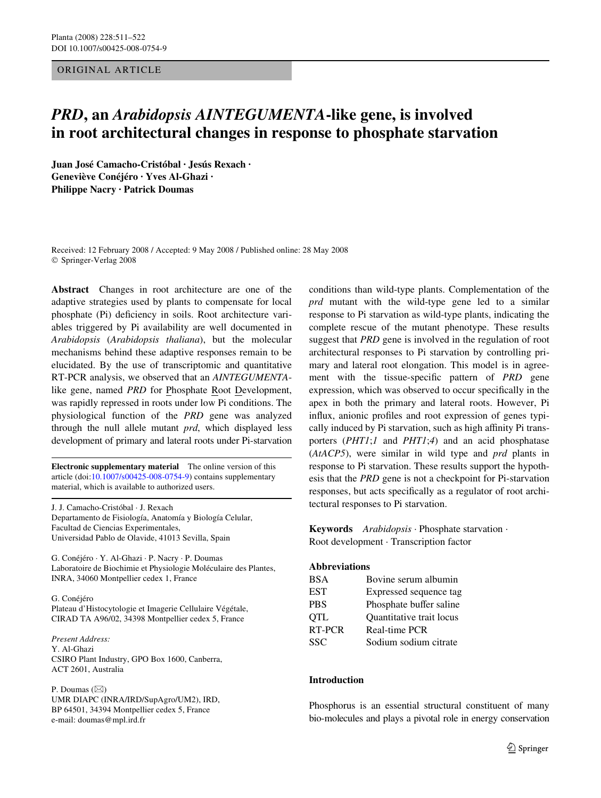## ORIGINAL ARTICLE

# *PRD***, an** *Arabidopsis AINTEGUMENTA***-like gene, is involved in root architectural changes in response to phosphate starvation**

**Juan José Camacho-Cristóbal · Jesús Rexach · Geneviève Conéjéro · Yves Al-Ghazi · Philippe Nacry · Patrick Doumas** 

Received: 12 February 2008 / Accepted: 9 May 2008 / Published online: 28 May 2008 © Springer-Verlag 2008

**Abstract** Changes in root architecture are one of the adaptive strategies used by plants to compensate for local phosphate (Pi) deficiency in soils. Root architecture variables triggered by Pi availability are well documented in *Arabidopsis* (*Arabidopsis thaliana*), but the molecular mechanisms behind these adaptive responses remain to be elucidated. By the use of transcriptomic and quantitative RT-PCR analysis, we observed that an *AINTEGUMENTA*like gene, named *PRD* for Phosphate Root Development, was rapidly repressed in roots under low Pi conditions. The physiological function of the *PRD* gene was analyzed through the null allele mutant *prd*, which displayed less development of primary and lateral roots under Pi-starvation

**Electronic supplementary material** The online version of this article (doi[:10.1007/s00425-008-0754-9](http://dx.doi.org/10.1007/s00425-008-0754-9)) contains supplementary material, which is available to authorized users.

J. J. Camacho-Cristóbal · J. Rexach Departamento de Fisiología, Anatomía y Biología Celular, Facultad de Ciencias Experimentales, Universidad Pablo de Olavide, 41013 Sevilla, Spain

G. Conéjéro · Y. Al-Ghazi · P. Nacry · P. Doumas Laboratoire de Biochimie et Physiologie Moléculaire des Plantes, INRA, 34060 Montpellier cedex 1, France

G. Conéjéro Plateau d'Histocytologie et Imagerie Cellulaire Végétale, CIRAD TA A96/02, 34398 Montpellier cedex 5, France

*Present Address:* Y. Al-Ghazi CSIRO Plant Industry, GPO Box 1600, Canberra, ACT 2601, Australia

P. Doumas  $(\boxtimes)$ UMR DIAPC (INRA/IRD/SupAgro/UM2), IRD, BP 64501, 34394 Montpellier cedex 5, France e-mail: doumas@mpl.ird.fr

conditions than wild-type plants. Complementation of the *prd* mutant with the wild-type gene led to a similar response to Pi starvation as wild-type plants, indicating the complete rescue of the mutant phenotype. These results suggest that *PRD* gene is involved in the regulation of root architectural responses to Pi starvation by controlling primary and lateral root elongation. This model is in agreement with the tissue-specific pattern of *PRD* gene expression, which was observed to occur specifically in the apex in both the primary and lateral roots. However, Pi influx, anionic profiles and root expression of genes typically induced by Pi starvation, such as high affinity Pi transporters (*PHT1*;*1* and *PHT1*;*4*) and an acid phosphatase (*AtACP5*), were similar in wild type and *prd* plants in response to Pi starvation. These results support the hypothesis that the *PRD* gene is not a checkpoint for Pi-starvation responses, but acts specifically as a regulator of root architectural responses to Pi starvation.

**Keywords** *Arabidopsis* · Phosphate starvation · Root development · Transcription factor

## **Abbreviations**

| BSA    | Bovine serum albumin            |
|--------|---------------------------------|
| EST    | Expressed sequence tag          |
| PBS    | Phosphate buffer saline         |
| QTL    | <b>Ouantitative trait locus</b> |
| RT-PCR | Real-time PCR                   |
| SSC    | Sodium sodium citrate           |

#### **Introduction**

Phosphorus is an essential structural constituent of many bio-molecules and plays a pivotal role in energy conservation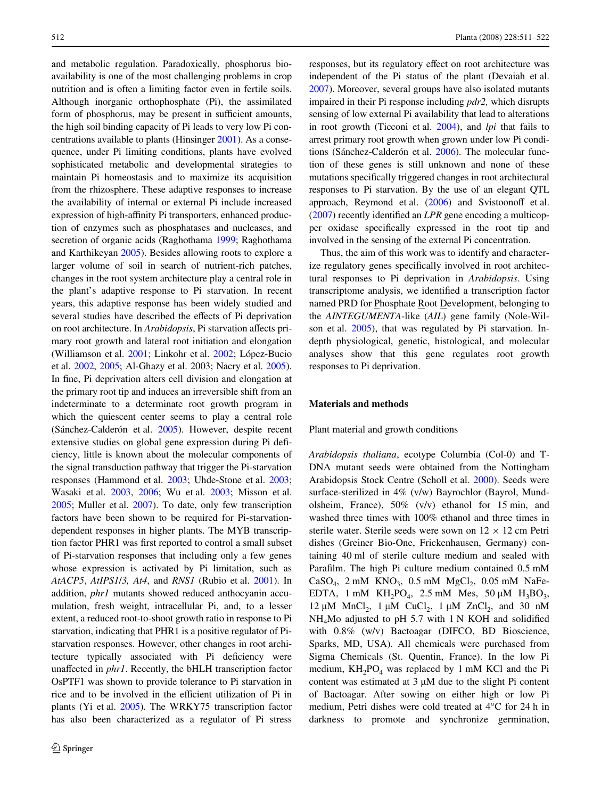and metabolic regulation. Paradoxically, phosphorus bioavailability is one of the most challenging problems in crop nutrition and is often a limiting factor even in fertile soils. Although inorganic orthophosphate (Pi), the assimilated form of phosphorus, may be present in sufficient amounts, the high soil binding capacity of Pi leads to very low Pi concentrations available to plants (Hinsinger [2001](#page-10-0)). As a consequence, under Pi limiting conditions, plants have evolved sophisticated metabolic and developmental strategies to maintain Pi homeostasis and to maximize its acquisition from the rhizosphere. These adaptive responses to increase the availability of internal or external Pi include increased expression of high-affinity Pi transporters, enhanced production of enzymes such as phosphatases and nucleases, and secretion of organic acids (Raghothama [1999](#page-11-0); Raghothama and Karthikeyan [2005\)](#page-11-1). Besides allowing roots to explore a larger volume of soil in search of nutrient-rich patches, changes in the root system architecture play a central role in the plant's adaptive response to Pi starvation. In recent years, this adaptive response has been widely studied and several studies have described the effects of Pi deprivation on root architecture. In *Arabidopsis*, Pi starvation affects primary root growth and lateral root initiation and elongation (Williamson et al. [2001;](#page-11-2) Linkohr et al. [2002](#page-10-1); López-Bucio et al. [2002](#page-10-2), [2005](#page-10-3); Al-Ghazy et al. 2003; Nacry et al. [2005](#page-11-3)). In fine, Pi deprivation alters cell division and elongation at the primary root tip and induces an irreversible shift from an indeterminate to a determinate root growth program in which the quiescent center seems to play a central role (Sánchez-Calderón et al. [2005](#page-11-4)). However, despite recent extensive studies on global gene expression during Pi deficiency, little is known about the molecular components of the signal transduction pathway that trigger the Pi-starvation responses (Hammond et al. [2003;](#page-10-4) Uhde-Stone et al. [2003](#page-11-5); Wasaki et al. [2003,](#page-11-6) [2006;](#page-11-7) Wu et al. [2003](#page-11-8); Misson et al. [2005;](#page-11-9) Muller et al. [2007](#page-11-10)). To date, only few transcription factors have been shown to be required for Pi-starvationdependent responses in higher plants. The MYB transcription factor PHR1 was first reported to control a small subset of Pi-starvation responses that including only a few genes whose expression is activated by Pi limitation, such as *AtACP5*, *AtIPS1*/*3, At4*, and *RNS1* (Rubio et al. [2001](#page-11-11)). In addition, *phr1* mutants showed reduced anthocyanin accumulation, fresh weight, intracellular Pi, and, to a lesser extent, a reduced root-to-shoot growth ratio in response to Pi starvation, indicating that PHR1 is a positive regulator of Pistarvation responses. However, other changes in root architecture typically associated with Pi deficiency were unaffected in *phr1*. Recently, the bHLH transcription factor OsPTF1 was shown to provide tolerance to Pi starvation in rice and to be involved in the efficient utilization of Pi in plants (Yi et al. [2005\)](#page-11-12). The WRKY75 transcription factor has also been characterized as a regulator of Pi stress responses, but its regulatory effect on root architecture was independent of the Pi status of the plant (Devaiah et al. [2007\)](#page-10-5). Moreover, several groups have also isolated mutants impaired in their Pi response including *pdr2,* which disrupts sensing of low external Pi availability that lead to alterations in root growth (Ticconi et al. [2004](#page-11-13)), and *lpi* that fails to arrest primary root growth when grown under low Pi conditions (Sánchez-Calderón et al. [2006](#page-11-14)). The molecular function of these genes is still unknown and none of these mutations specifically triggered changes in root architectural responses to Pi starvation. By the use of an elegant QTL approach, Reymond et al.  $(2006)$  $(2006)$  and Svistoonoff et al.  $(2007)$  $(2007)$  recently identified an *LPR* gene encoding a multicopper oxidase specifically expressed in the root tip and involved in the sensing of the external Pi concentration.

Thus, the aim of this work was to identify and characterize regulatory genes specifically involved in root architectural responses to Pi deprivation in *Arabidopsis*. Using transcriptome analysis, we identified a transcription factor named PRD for Phosphate Root Development, belonging to the *AINTEGUMENTA*-like (*AIL*) gene family (Nole-Wilson et al. [2005](#page-11-17)), that was regulated by Pi starvation. Indepth physiological, genetic, histological, and molecular analyses show that this gene regulates root growth responses to Pi deprivation.

# **Materials and methods**

#### Plant material and growth conditions

*Arabidopsis thaliana*, ecotype Columbia (Col-0) and T-DNA mutant seeds were obtained from the Nottingham Arabidopsis Stock Centre (Scholl et al. [2000\)](#page-11-18). Seeds were surface-sterilized in 4% (v/w) Bayrochlor (Bayrol, Mundolsheim, France), 50% (v/v) ethanol for 15 min, and washed three times with 100% ethanol and three times in sterile water. Sterile seeds were sown on  $12 \times 12$  cm Petri dishes (Greiner Bio-One, Frickenhausen, Germany) containing 40 ml of sterile culture medium and sealed with Parafilm. The high Pi culture medium contained 0.5 mM  $CaSO_4$ , 2 mM  $KNO_3$ , 0.5 mM  $MgCl_2$ , 0.05 mM NaFe-EDTA, 1 mM KH<sub>2</sub>PO<sub>4</sub>, 2.5 mM Mes, 50  $\mu$ M H<sub>3</sub>BO<sub>3</sub>, 12  $\mu$ M MnCl<sub>2</sub>, 1  $\mu$ M CuCl<sub>2</sub>, 1  $\mu$ M ZnCl<sub>2</sub>, and 30 nM  $NH<sub>4</sub>$ Mo adjusted to pH 5.7 with 1 N KOH and solidified with 0.8% (w/v) Bactoagar (DIFCO, BD Bioscience, Sparks, MD, USA). All chemicals were purchased from Sigma Chemicals (St. Quentin, France). In the low Pi medium,  $KH_2PO_4$  was replaced by 1 mM KCl and the Pi content was estimated at  $3 \mu M$  due to the slight Pi content of Bactoagar. After sowing on either high or low Pi medium, Petri dishes were cold treated at 4°C for 24 h in darkness to promote and synchronize germination,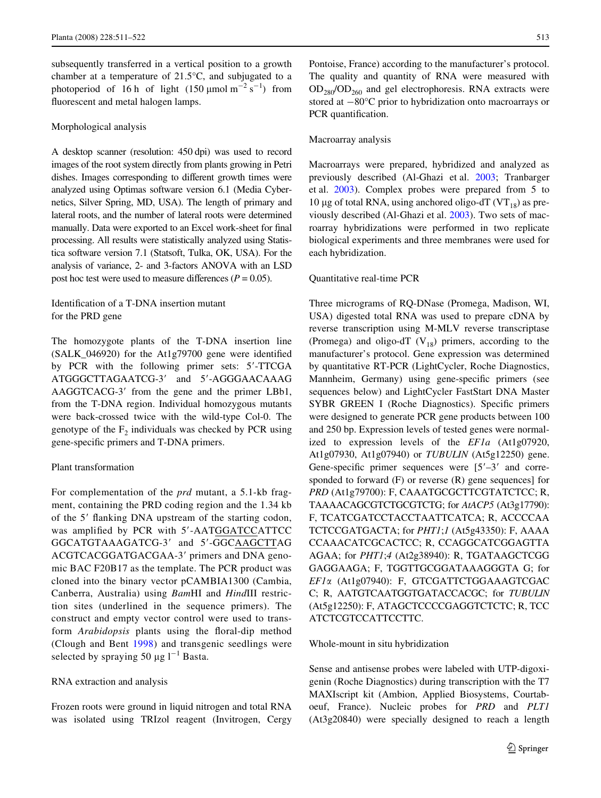subsequently transferred in a vertical position to a growth chamber at a temperature of 21.5°C, and subjugated to a photoperiod of 16 h of light  $(150 \text{ \mu mol m}^{-2} \text{ s}^{-1})$  from fluorescent and metal halogen lamps.

#### Morphological analysis

A desktop scanner (resolution: 450 dpi) was used to record images of the root system directly from plants growing in Petri dishes. Images corresponding to different growth times were analyzed using Optimas software version 6.1 (Media Cybernetics, Silver Spring, MD, USA). The length of primary and lateral roots, and the number of lateral roots were determined manually. Data were exported to an Excel work-sheet for final processing. All results were statistically analyzed using Statistica software version 7.1 (Statsoft, Tulka, OK, USA). For the analysis of variance, 2- and 3-factors ANOVA with an LSD post hoc test were used to measure differences ( $P = 0.05$ ).

# Identification of a T-DNA insertion mutant for the PRD gene

The homozygote plants of the T-DNA insertion line  $(SALK_046920)$  for the At1g79700 gene were identified by PCR with the following primer sets: 5'-TTCGA ATGGGCTTAGAATCG-3' and 5'-AGGGAACAAAG AAGGTCACG-3' from the gene and the primer LBb1, from the T-DNA region. Individual homozygous mutants were back-crossed twice with the wild-type Col-0. The genotype of the  $F_2$  individuals was checked by PCR using gene-specific primers and T-DNA primers.

## Plant transformation

For complementation of the *prd* mutant, a 5.1-kb fragment, containing the PRD coding region and the 1.34 kb of the 5' flanking DNA upstream of the starting codon, was amplified by PCR with 5'-AATGGATCCATTCC GGCATGTAAAGATCG-3' and 5'-GGCAAGCTTAG ACGTCACGGATGACGAA-3' primers and DNA genomic BAC F20B17 as the template. The PCR product was cloned into the binary vector pCAMBIA1300 (Cambia, Canberra, Australia) using *Bam*HI and *Hind*III restriction sites (underlined in the sequence primers). The construct and empty vector control were used to transform *Arabidopsis* plants using the floral-dip method (Clough and Bent [1998](#page-10-6)) and transgenic seedlings were selected by spraying 50  $\mu$ g l<sup>-1</sup> Basta.

#### RNA extraction and analysis

Frozen roots were ground in liquid nitrogen and total RNA was isolated using TRIzol reagent (Invitrogen, Cergy

Pontoise, France) according to the manufacturer's protocol. The quality and quantity of RNA were measured with  $OD_{280}/OD_{260}$  and gel electrophoresis. RNA extracts were stored at  $-80^{\circ}$ C prior to hybridization onto macroarrays or PCR quantification.

#### Macroarray analysis

Macroarrays were prepared, hybridized and analyzed as previously described (Al-Ghazi et al. [2003](#page-10-7); Tranbarger et al. [2003\)](#page-11-19). Complex probes were prepared from 5 to 10 µg of total RNA, using anchored oligo-dT ( $VT_{18}$ ) as previously described (Al-Ghazi et al. [2003](#page-10-7)). Two sets of macroarray hybridizations were performed in two replicate biological experiments and three membranes were used for each hybridization.

#### Quantitative real-time PCR

Three micrograms of RQ-DNase (Promega, Madison, WI, USA) digested total RNA was used to prepare cDNA by reverse transcription using M-MLV reverse transcriptase (Promega) and oligo-dT  $(V_{18})$  primers, according to the manufacturer's protocol. Gene expression was determined by quantitative RT-PCR (LightCycler, Roche Diagnostics, Mannheim, Germany) using gene-specific primers (see sequences below) and LightCycler FastStart DNA Master SYBR GREEN I (Roche Diagnostics). Specific primers were designed to generate PCR gene products between 100 and 250 bp. Expression levels of tested genes were normalized to expression levels of the *EF1a* (At1g07920, At1g07930, At1g07940) or *TUBULIN* (At5g12250) gene. Gene-specific primer sequences were  $[5'-3'$  and corresponded to forward  $(F)$  or reverse  $(R)$  gene sequences] for PRD (At1g79700): F, CAAATGCGCTTCGTATCTCC; R, TAAAACAGCGTCTGCGTCTG; for *AtACP5* (At3g17790): F, TCATCGATCCTACCTAATTCATCA; R, ACCCCAA TCTCCGATGACTA; for *PHT1*;*1* (At5g43350): F, AAAA CCAAACATCGCACTCC; R, CCAGGCATCGGAGTTA AGAA; for *PHT1*;*4* (At2g38940): R, TGATAAGCTCGG GAGGAAGA; F, TGGTTGCGGATAAAGGGTA G; for *EF1* (At1g07940): F, GTCGATTCTGGAAAGTCGAC C; R, AATGTCAATGGTGATACCACGC; for *TUBULIN* (At5g12250): F, ATAGCTCCCCGAGGTCTCTC; R, TCC ATCTCGTCCATTCCTTC.

#### Whole-mount in situ hybridization

Sense and antisense probes were labeled with UTP-digoxigenin (Roche Diagnostics) during transcription with the T7 MAXIscript kit (Ambion, Applied Biosystems, Courtaboeuf, France). Nucleic probes for *PRD* and *PLT1* (At3g20840) were specially designed to reach a length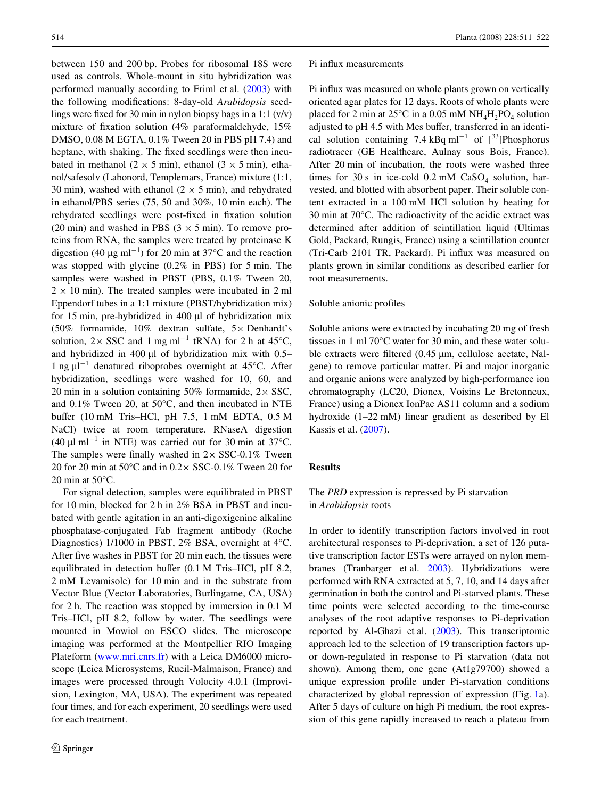between 150 and 200 bp. Probes for ribosomal 18S were used as controls. Whole-mount in situ hybridization was performed manually according to Friml et al. [\(2003](#page-10-8)) with the following modifications: 8-day-old *Arabidopsis* seedlings were fixed for 30 min in nylon biopsy bags in a 1:1  $(v/v)$ mixture of fixation solution (4% paraformaldehyde,  $15\%$ DMSO, 0.08 M EGTA, 0.1% Tween 20 in PBS pH 7.4) and heptane, with shaking. The fixed seedlings were then incubated in methanol (2  $\times$  5 min), ethanol (3  $\times$  5 min), ethanol/safesolv (Labonord, Templemars, France) mixture (1:1, 30 min), washed with ethanol ( $2 \times 5$  min), and rehydrated in ethanol/PBS series (75, 50 and 30%, 10 min each). The rehydrated seedlings were post-fixed in fixation solution (20 min) and washed in PBS ( $3 \times 5$  min). To remove proteins from RNA, the samples were treated by proteinase K digestion (40  $\mu$ g ml<sup>-1</sup>) for 20 min at 37°C and the reaction was stopped with glycine (0.2% in PBS) for 5 min. The samples were washed in PBST (PBS, 0.1% Tween 20,  $2 \times 10$  min). The treated samples were incubated in 2 ml Eppendorf tubes in a 1:1 mixture (PBST/hybridization mix) for 15 min, pre-hybridized in 400  $\mu$ l of hybridization mix (50% formamide,  $10\%$  dextran sulfate,  $5\times$  Denhardt's solution,  $2 \times$  SSC and 1 mg ml<sup>-1</sup> tRNA) for 2 h at 45°C, and hybridized in 400  $\mu$ l of hybridization mix with 0.5– 1 ng  $\mu$ l<sup>-1</sup> denatured riboprobes overnight at 45°C. After hybridization, seedlings were washed for 10, 60, and 20 min in a solution containing 50% formamide,  $2 \times SSC$ , and 0.1% Tween 20, at 50°C, and then incubated in NTE buffer (10 mM Tris–HCl, pH  $7.5$ , 1 mM EDTA,  $0.5$  M NaCl) twice at room temperature. RNaseA digestion (40  $\mu$ l ml<sup>-1</sup> in NTE) was carried out for 30 min at 37°C. The samples were finally washed in  $2 \times$  SSC-0.1% Tween 20 for 20 min at 50 $^{\circ}$ C and in 0.2 $\times$  SSC-0.1% Tween 20 for 20 min at 50°C.

For signal detection, samples were equilibrated in PBST for 10 min, blocked for 2 h in 2% BSA in PBST and incubated with gentle agitation in an anti-digoxigenine alkaline phosphatase-conjugated Fab fragment antibody (Roche Diagnostics) 1/1000 in PBST, 2% BSA, overnight at 4°C. After five washes in PBST for 20 min each, the tissues were equilibrated in detection buffer  $(0.1 \text{ M Tris-HCl}, \text{pH } 8.2, \text{m}$ 2 mM Levamisole) for 10 min and in the substrate from Vector Blue (Vector Laboratories, Burlingame, CA, USA) for 2 h. The reaction was stopped by immersion in 0.1 M Tris–HCl, pH 8.2, follow by water. The seedlings were mounted in Mowiol on ESCO slides. The microscope imaging was performed at the Montpellier RIO Imaging Plateform ([www.mri.cnrs.fr](http://www.mri.cnrs.fr)) with a Leica DM6000 microscope (Leica Microsystems, Rueil-Malmaison, France) and images were processed through Volocity 4.0.1 (Improvision, Lexington, MA, USA). The experiment was repeated four times, and for each experiment, 20 seedlings were used for each treatment.

#### Pi influx measurements

Pi influx was measured on whole plants grown on vertically oriented agar plates for 12 days. Roots of whole plants were placed for 2 min at  $25^{\circ}$ C in a 0.05 mM NH<sub>4</sub>H<sub>2</sub>PO<sub>4</sub> solution adjusted to pH 4.5 with Mes buffer, transferred in an identical solution containing 7.4 kBq ml<sup>-1</sup> of  $[^{33}]$ Phosphorus radiotracer (GE Healthcare, Aulnay sous Bois, France). After 20 min of incubation, the roots were washed three times for 30 s in ice-cold  $0.2$  mM CaSO<sub>4</sub> solution, harvested, and blotted with absorbent paper. Their soluble content extracted in a 100 mM HCl solution by heating for 30 min at 70°C. The radioactivity of the acidic extract was determined after addition of scintillation liquid (Ultimas Gold, Packard, Rungis, France) using a scintillation counter (Tri-Carb 2101 TR, Packard). Pi influx was measured on plants grown in similar conditions as described earlier for root measurements.

## Soluble anionic profiles

Soluble anions were extracted by incubating 20 mg of fresh tissues in 1 ml 70°C water for 30 min, and these water soluble extracts were filtered  $(0.45 \mu m,$  cellulose acetate, Nalgene) to remove particular matter. Pi and major inorganic and organic anions were analyzed by high-performance ion chromatography (LC20, Dionex, Voisins Le Bretonneux, France) using a Dionex IonPac AS11 column and a sodium hydroxide (1–22 mM) linear gradient as described by El Kassis et al. ([2007](#page-10-9)).

## **Results**

# The *PRD* expression is repressed by Pi starvation in *Arabidopsis* roots

In order to identify transcription factors involved in root architectural responses to Pi-deprivation, a set of 126 putative transcription factor ESTs were arrayed on nylon membranes (Tranbarger et al. [2003\)](#page-11-19). Hybridizations were performed with RNA extracted at 5, 7, 10, and 14 days after germination in both the control and Pi-starved plants. These time points were selected according to the time-course analyses of the root adaptive responses to Pi-deprivation reported by Al-Ghazi et al. ([2003\)](#page-10-7). This transcriptomic approach led to the selection of 19 transcription factors upor down-regulated in response to Pi starvation (data not shown). Among them, one gene (At1g79700) showed a unique expression profile under Pi-starvation conditions characterized by global repression of expression (Fig. [1a](#page-4-0)). After 5 days of culture on high Pi medium, the root expression of this gene rapidly increased to reach a plateau from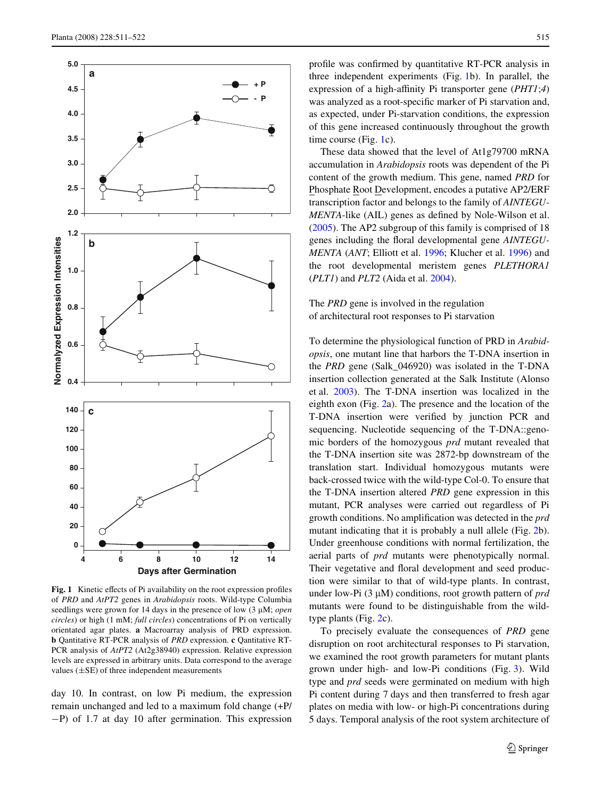

<span id="page-4-0"></span>Fig. 1 Kinetic effects of Pi availability on the root expression profiles of *PRD* and *AtPT2* genes in *Arabidopsis* roots. Wild-type Columbia seedlings were grown for 14 days in the presence of low (3 µM; *open circles*) or high (1 mM; *full circles*) concentrations of Pi on vertically orientated agar plates. **a** Macroarray analysis of PRD expression. **b** Qantitative RT-PCR analysis of *PRD* expression. **c** Qantitative RT-PCR analysis of *AtPT2* (At2g38940) expression. Relative expression levels are expressed in arbitrary units. Data correspond to the average

day 10. In contrast, on low Pi medium, the expression remain unchanged and led to a maximum fold change (+P/  $-P$ ) of 1.7 at day 10 after germination. This expression profile was confirmed by quantitative RT-PCR analysis in three independent experiments (Fig. [1](#page-4-0)b). In parallel, the expression of a high-affinity Pi transporter gene (*PHT1*;*4*) was analyzed as a root-specific marker of Pi starvation and, as expected, under Pi-starvation conditions, the expression of this gene increased continuously throughout the growth time course (Fig. [1c](#page-4-0)).

These data showed that the level of At1g79700 mRNA accumulation in *Arabidopsis* roots was dependent of the Pi content of the growth medium. This gene, named *PRD* for Phosphate Root Development, encodes a putative AP2/ERF transcription factor and belongs to the family of *AINTEGU-MENTA*-like (AIL) genes as defined by Nole-Wilson et al. [\(2005\)](#page-11-17). The AP2 subgroup of this family is comprised of 18 genes including the floral developmental gene *AINTEGU*-*MENTA* (*ANT*; Elliott et al. [1996;](#page-10-10) Klucher et al. [1996](#page-10-11)) and the root developmental meristem genes *PLETHORA1* (*PLT1*) and *PLT2* (Aida et al. [2004](#page-10-12)).

# The *PRD* gene is involved in the regulation of architectural root responses to Pi starvation

To determine the physiological function of PRD in *Arabidopsis*, one mutant line that harbors the T-DNA insertion in the *PRD* gene (Salk\_046920) was isolated in the T-DNA insertion collection generated at the Salk Institute (Alonso et al. [2003\)](#page-10-13). The T-DNA insertion was localized in the eighth exon (Fig. [2](#page-5-0)a). The presence and the location of the T-DNA insertion were verified by junction PCR and sequencing. Nucleotide sequencing of the T-DNA::genomic borders of the homozygous *prd* mutant revealed that the T-DNA insertion site was 2872-bp downstream of the translation start. Individual homozygous mutants were back-crossed twice with the wild-type Col-0. To ensure that the T-DNA insertion altered *PRD* gene expression in this mutant, PCR analyses were carried out regardless of Pi growth conditions. No amplification was detected in the *prd* mutant indicating that it is probably a null allele (Fig. [2](#page-5-0)b). Under greenhouse conditions with normal fertilization, the aerial parts of *prd* mutants were phenotypically normal. Their vegetative and floral development and seed production were similar to that of wild-type plants. In contrast, under low-Pi (3 μM) conditions, root growth pattern of *prd* mutants were found to be distinguishable from the wildtype plants (Fig. [2c](#page-5-0)).

To precisely evaluate the consequences of *PRD* gene disruption on root architectural responses to Pi starvation, we examined the root growth parameters for mutant plants grown under high- and low-Pi conditions (Fig. [3\)](#page-6-0). Wild type and *prd* seeds were germinated on medium with high Pi content during 7 days and then transferred to fresh agar plates on media with low- or high-Pi concentrations during 5 days. Temporal analysis of the root system architecture of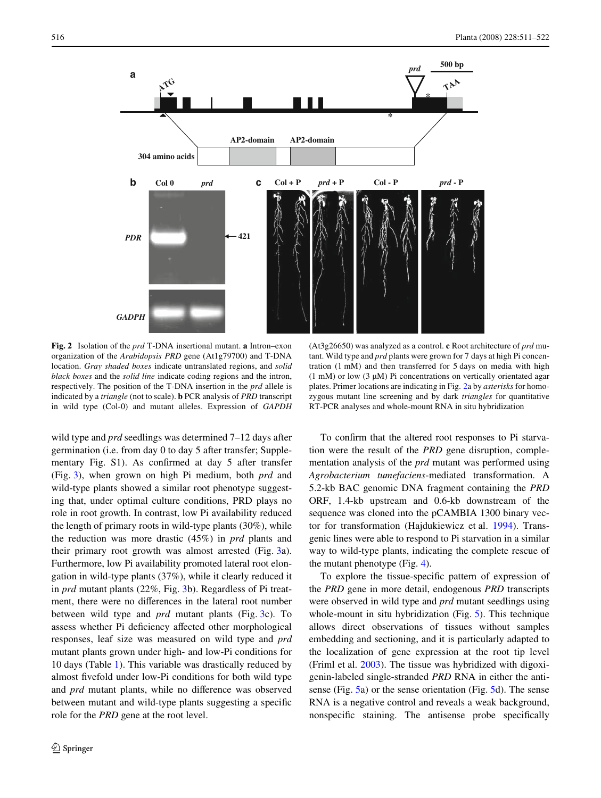

<span id="page-5-0"></span>**Fig. 2** Isolation of the *prd* T-DNA insertional mutant. **a** Intron–exon organization of the *Arabidopsis PRD* gene (At1g79700) and T-DNA location. *Gray shaded boxes* indicate untranslated regions, and *solid black boxes* and the *solid line* indicate coding regions and the intron, respectively. The position of the T-DNA insertion in the *prd* allele is indicated by a *triangle* (not to scale). **b** PCR analysis of *PRD* transcript in wild type (Col-0) and mutant alleles. Expression of *GAPDH*

wild type and *prd* seedlings was determined 7–12 days after germination (i.e. from day 0 to day 5 after transfer; Supplementary Fig. S1). As confirmed at day 5 after transfer (Fig. [3\)](#page-6-0), when grown on high Pi medium, both *prd* and wild-type plants showed a similar root phenotype suggesting that, under optimal culture conditions, PRD plays no role in root growth. In contrast, low Pi availability reduced the length of primary roots in wild-type plants (30%), while the reduction was more drastic (45%) in *prd* plants and their primary root growth was almost arrested (Fig. [3a](#page-6-0)). Furthermore, low Pi availability promoted lateral root elongation in wild-type plants (37%), while it clearly reduced it in *prd* mutant plants (22%, Fig. [3b](#page-6-0)). Regardless of Pi treatment, there were no differences in the lateral root number between wild type and *prd* mutant plants (Fig. [3c](#page-6-0)). To assess whether Pi deficiency affected other morphological responses, leaf size was measured on wild type and *prd* mutant plants grown under high- and low-Pi conditions for 10 days (Table [1](#page-6-1)). This variable was drastically reduced by almost fivefold under low-Pi conditions for both wild type and *prd* mutant plants, while no difference was observed between mutant and wild-type plants suggesting a specific role for the *PRD* gene at the root level.

(At3g26650) was analyzed as a control. **c** Root architecture of *prd* mutant. Wild type and *prd* plants were grown for 7 days at high Pi concentration (1 mM) and then transferred for 5 days on media with high (1 mM) or low (3  $\mu$ M) Pi concentrations on vertically orientated agar plates. Primer locations are indicating in Fig. [2](#page-5-0)a by *asterisks* for homozygous mutant line screening and by dark *triangles* for quantitative RT-PCR analyses and whole-mount RNA in situ hybridization

To confirm that the altered root responses to Pi starvation were the result of the *PRD* gene disruption, complementation analysis of the *prd* mutant was performed using *Agrobacterium tumefaciens*-mediated transformation. A 5.2-kb BAC genomic DNA fragment containing the *PRD* ORF, 1.4-kb upstream and 0.6-kb downstream of the sequence was cloned into the pCAMBIA 1300 binary vector for transformation (Hajdukiewicz et al. [1994\)](#page-10-14). Transgenic lines were able to respond to Pi starvation in a similar way to wild-type plants, indicating the complete rescue of the mutant phenotype (Fig. [4\)](#page-6-2).

To explore the tissue-specific pattern of expression of the *PRD* gene in more detail, endogenous *PRD* transcripts were observed in wild type and *prd* mutant seedlings using whole-mount in situ hybridization (Fig. [5](#page-7-0)). This technique allows direct observations of tissues without samples embedding and sectioning, and it is particularly adapted to the localization of gene expression at the root tip level (Friml et al. [2003](#page-10-8)). The tissue was hybridized with digoxigenin-labeled single-stranded *PRD* RNA in either the antisense (Fig. [5](#page-7-0)a) or the sense orientation (Fig. [5d](#page-7-0)). The sense RNA is a negative control and reveals a weak background, nonspecific staining. The antisense probe specifically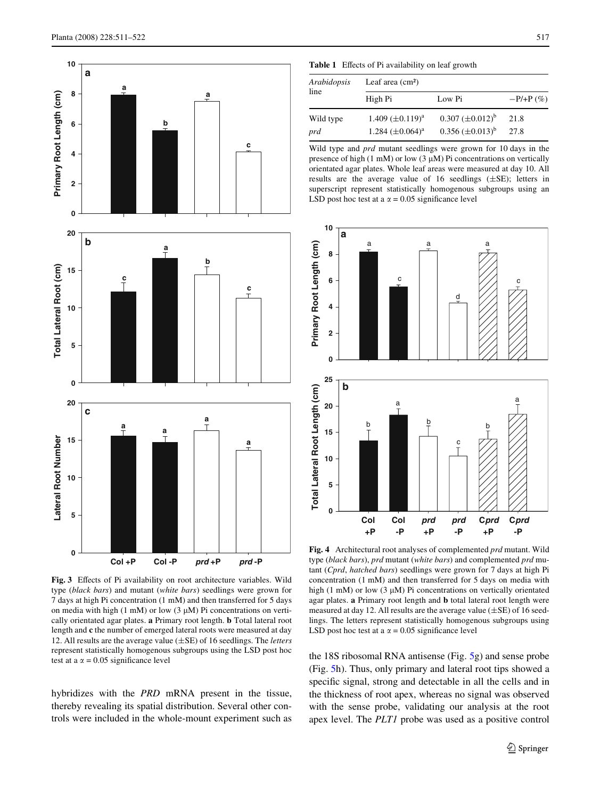

<span id="page-6-0"></span>Fig. 3 Effects of Pi availability on root architecture variables. Wild type (*black bars*) and mutant (*white bars*) seedlings were grown for 7 days at high Pi concentration (1 mM) and then transferred for 5 days on media with high (1 mM) or low (3  $\mu$ M) Pi concentrations on vertically orientated agar plates. **a** Primary root length. **b** Total lateral root length and **c** the number of emerged lateral roots were measured at day 12. All results are the average value  $(\pm SE)$  of 16 seedlings. The *letters* represent statistically homogenous subgroups using the LSD post hoc

hybridizes with the *PRD* mRNA present in the tissue, thereby revealing its spatial distribution. Several other controls were included in the whole-mount experiment such as

<span id="page-6-1"></span>Table 1 Effects of Pi availability on leaf growth

| Arabidopsis<br>line | Leaf area $(cm2)$     |                           |             |  |
|---------------------|-----------------------|---------------------------|-------------|--|
|                     | High Pi               | Low Pi                    | $-P/+P(\%)$ |  |
| Wild type           | 1.409 $(\pm 0.119)^a$ | $0.307 \ (\pm 0.012)^{b}$ | 21.8        |  |
| prd                 | 1.284 $(\pm 0.064)^a$ | $0.356 \ (\pm 0.013)^b$   | 27.8        |  |

Wild type and *prd* mutant seedlings were grown for 10 days in the presence of high (1 mM) or low (3  $\mu$ M) Pi concentrations on vertically orientated agar plates. Whole leaf areas were measured at day 10. All results are the average value of 16 seedlings  $(\pm SE)$ ; letters in superscript represent statistically homogenous subgroups using an LSD post hoc test at a  $\alpha$  = 0.05 significance level



<span id="page-6-2"></span>**Fig. 4** Architectural root analyses of complemented *prd* mutant. Wild type (*black bars*), *prd* mutant (*white bars*) and complemented *prd* mutant (*Cprd*, *hatched bars*) seedlings were grown for 7 days at high Pi concentration (1 mM) and then transferred for 5 days on media with high (1 mM) or low (3  $\mu$ M) Pi concentrations on vertically orientated agar plates. **a** Primary root length and **b** total lateral root length were measured at day 12. All results are the average value  $(\pm SE)$  of 16 seedlings. The letters represent statistically homogenous subgroups using

the 18S ribosomal RNA antisense (Fig. 5g) and sense probe (Fig. [5h](#page-7-0)). Thus, only primary and lateral root tips showed a specific signal, strong and detectable in all the cells and in the thickness of root apex, whereas no signal was observed with the sense probe, validating our analysis at the root apex level. The *PLT1* probe was used as a positive control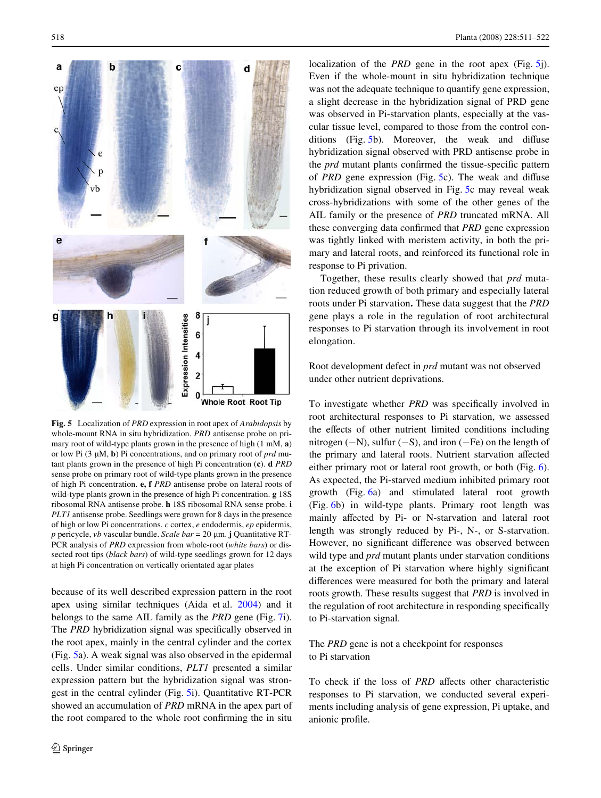

<span id="page-7-0"></span>**Fig. 5** Localization of *PRD* expression in root apex of *Arabidopsis* by whole-mount RNA in situ hybridization. *PRD* antisense probe on primary root of wild-type plants grown in the presence of high (1 mM, **a**) or low Pi (3 M, **b**) Pi concentrations, and on primary root of *prd* mutant plants grown in the presence of high Pi concentration (**c**). **d** *PRD* sense probe on primary root of wild-type plants grown in the presence of high Pi concentration. **e, f** *PRD* antisense probe on lateral roots of wild-type plants grown in the presence of high Pi concentration. **g** 18S ribosomal RNA antisense probe. **h** 18S ribosomal RNA sense probe. **i** *PLT1* antisense probe. Seedlings were grown for 8 days in the presence of high or low Pi concentrations. *c* cortex, *e* endodermis, *ep* epidermis, *p* pericycle, *vb* vascular bundle. *Scale bar* = 20  $\mu$ m. **j** Quantitative RT-PCR analysis of *PRD* expression from whole-root (*white bars*) or dissected root tips (*black bars*) of wild-type seedlings grown for 12 days at high Pi concentration on vertically orientated agar plates

because of its well described expression pattern in the root apex using similar techniques (Aida et al. [2004](#page-10-12)) and it belongs to the same AIL family as the *PRD* gene (Fig. [7i](#page-9-0)). The *PRD* hybridization signal was specifically observed in the root apex, mainly in the central cylinder and the cortex (Fig. [5a](#page-7-0)). A weak signal was also observed in the epidermal cells. Under similar conditions, *PLT1* presented a similar expression pattern but the hybridization signal was strongest in the central cylinder (Fig. [5i](#page-7-0)). Quantitative RT-PCR showed an accumulation of *PRD* mRNA in the apex part of the root compared to the whole root confirming the in situ

localization of the *PRD* gene in the root apex (Fig. [5j](#page-7-0)). Even if the whole-mount in situ hybridization technique was not the adequate technique to quantify gene expression, a slight decrease in the hybridization signal of PRD gene was observed in Pi-starvation plants, especially at the vascular tissue level, compared to those from the control conditions  $(Fig. 5b)$  $(Fig. 5b)$  $(Fig. 5b)$ . Moreover, the weak and diffuse hybridization signal observed with PRD antisense probe in the *prd* mutant plants confirmed the tissue-specific pattern of *PRD* gene expression (Fig.  $5c$  $5c$ ). The weak and diffuse hybridization signal observed in Fig. [5c](#page-7-0) may reveal weak cross-hybridizations with some of the other genes of the AIL family or the presence of *PRD* truncated mRNA. All these converging data confirmed that *PRD* gene expression was tightly linked with meristem activity, in both the primary and lateral roots, and reinforced its functional role in response to Pi privation.

Together, these results clearly showed that *prd* mutation reduced growth of both primary and especially lateral roots under Pi starvation**.** These data suggest that the *PRD* gene plays a role in the regulation of root architectural responses to Pi starvation through its involvement in root elongation.

Root development defect in *prd* mutant was not observed under other nutrient deprivations.

To investigate whether *PRD* was specifically involved in root architectural responses to Pi starvation, we assessed the effects of other nutrient limited conditions including nitrogen  $(-N)$ , sulfur  $(-S)$ , and iron  $(-Fe)$  on the length of the primary and lateral roots. Nutrient starvation affected either primary root or lateral root growth, or both (Fig. [6](#page-8-0)). As expected, the Pi-starved medium inhibited primary root growth (Fig. [6](#page-8-0)a) and stimulated lateral root growth (Fig. [6b](#page-8-0)) in wild-type plants. Primary root length was mainly affected by Pi- or N-starvation and lateral root length was strongly reduced by Pi-, N-, or S-starvation. However, no significant difference was observed between wild type and *prd* mutant plants under starvation conditions at the exception of Pi starvation where highly significant differences were measured for both the primary and lateral roots growth. These results suggest that *PRD* is involved in the regulation of root architecture in responding specifically to Pi-starvation signal.

# The *PRD* gene is not a checkpoint for responses to Pi starvation

To check if the loss of *PRD* affects other characteristic responses to Pi starvation, we conducted several experiments including analysis of gene expression, Pi uptake, and anionic profile.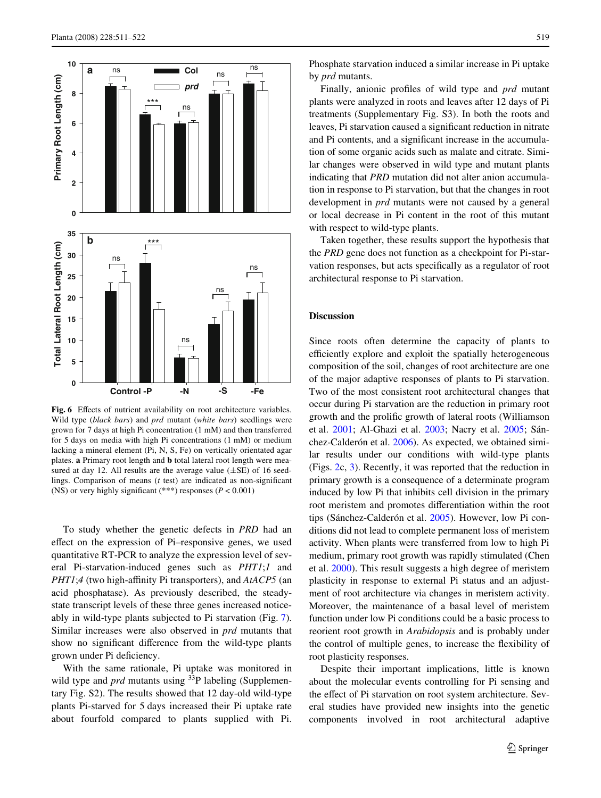

<span id="page-8-0"></span>Fig. 6 Effects of nutrient availability on root architecture variables. Wild type (*black bars*) and *prd* mutant (*white bars*) seedlings were grown for 7 days at high Pi concentration (1 mM) and then transferred for 5 days on media with high Pi concentrations (1 mM) or medium lacking a mineral element (Pi, N, S, Fe) on vertically orientated agar plates. **a** Primary root length and **b** total lateral root length were measured at day 12. All results are the average value  $(\pm SE)$  of 16 seedlings. Comparison of means  $(t$  test) are indicated as non-significant

To study whether the genetic defects in *PRD* had an effect on the expression of Pi–responsive genes, we used quantitative RT-PCR to analyze the expression level of several Pi-starvation-induced genes such as *PHT1*;*1* and *PHT1*;4 (two high-affinity Pi transporters), and *AtACP5* (an acid phosphatase). As previously described, the steadystate transcript levels of these three genes increased noticeably in wild-type plants subjected to Pi starvation (Fig. [7](#page-9-0)). Similar increases were also observed in *prd* mutants that show no significant difference from the wild-type plants grown under Pi deficiency.

With the same rationale, Pi uptake was monitored in wild type and *prd* mutants using <sup>33</sup>P labeling (Supplementary Fig. S2). The results showed that 12 day-old wild-type plants Pi-starved for 5 days increased their Pi uptake rate about fourfold compared to plants supplied with Pi.

Phosphate starvation induced a similar increase in Pi uptake by *prd* mutants.

Finally, anionic profiles of wild type and *prd* mutant plants were analyzed in roots and leaves after 12 days of Pi treatments (Supplementary Fig. S3). In both the roots and leaves, Pi starvation caused a significant reduction in nitrate and Pi contents, and a significant increase in the accumulation of some organic acids such as malate and citrate. Similar changes were observed in wild type and mutant plants indicating that *PRD* mutation did not alter anion accumulation in response to Pi starvation, but that the changes in root development in *prd* mutants were not caused by a general or local decrease in Pi content in the root of this mutant with respect to wild-type plants.

Taken together, these results support the hypothesis that the *PRD* gene does not function as a checkpoint for Pi-starvation responses, but acts specifically as a regulator of root architectural response to Pi starvation.

#### **Discussion**

Since roots often determine the capacity of plants to efficiently explore and exploit the spatially heterogeneous composition of the soil, changes of root architecture are one of the major adaptive responses of plants to Pi starvation. Two of the most consistent root architectural changes that occur during Pi starvation are the reduction in primary root growth and the prolific growth of lateral roots (Williamson et al. [2001;](#page-11-2) Al-Ghazi et al. [2003;](#page-10-7) Nacry et al. [2005](#page-11-3); Sánchez-Calderón et al. [2006](#page-11-14)). As expected, we obtained similar results under our conditions with wild-type plants (Figs. [2c](#page-5-0), [3](#page-6-0)). Recently, it was reported that the reduction in primary growth is a consequence of a determinate program induced by low Pi that inhibits cell division in the primary root meristem and promotes differentiation within the root tips (Sánchez-Calderón et al. [2005\)](#page-11-4). However, low Pi conditions did not lead to complete permanent loss of meristem activity. When plants were transferred from low to high Pi medium, primary root growth was rapidly stimulated (Chen et al. [2000](#page-10-15)). This result suggests a high degree of meristem plasticity in response to external Pi status and an adjustment of root architecture via changes in meristem activity. Moreover, the maintenance of a basal level of meristem function under low Pi conditions could be a basic process to reorient root growth in *Arabidopsis* and is probably under the control of multiple genes, to increase the flexibility of root plasticity responses.

Despite their important implications, little is known about the molecular events controlling for Pi sensing and the effect of Pi starvation on root system architecture. Several studies have provided new insights into the genetic components involved in root architectural adaptive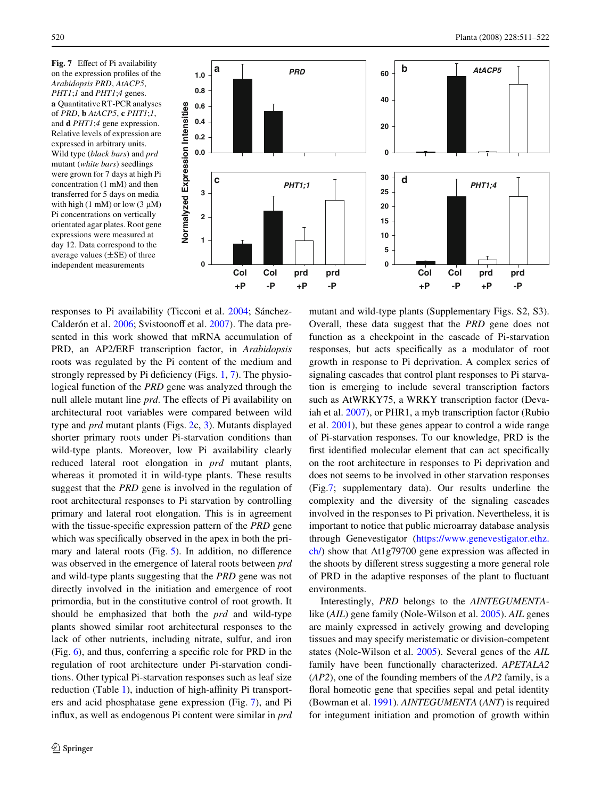<span id="page-9-0"></span>**Fig.** 7 Effect of Pi availability on the expression profiles of the *Arabidopsis PRD*, *AtACP5*, *PHT1*;*1* and *PHT1*;*4* genes. **a** Quantitative RT-PCR analyses of *PRD*, **b** *AtACP5*, **c** *PHT1*;*1*, and **d** *PHT1*;*4* gene expression. Relative levels of expression are expressed in arbitrary units. Wild type (*black bars*) and *prd* mutant (*white bars*) seedlings were grown for 7 days at high Pi concentration (1 mM) and then transferred for 5 days on media with high (1 mM) or low (3  $\mu$ M) Pi concentrations on vertically orientated agar plates. Root gene expressions were measured at day 12. Data correspond to the average values  $(\pm SE)$  of three independent measurements



responses to Pi availability (Ticconi et al. [2004](#page-11-13); Sánchez-Calderón et al. [2006](#page-11-14); Svistoonoff et al. [2007](#page-11-16)). The data presented in this work showed that mRNA accumulation of PRD, an AP2/ERF transcription factor, in *Arabidopsis* roots was regulated by the Pi content of the medium and strongly repressed by Pi deficiency (Figs.  $1, 7$  $1, 7$  $1, 7$ ). The physiological function of the *PRD* gene was analyzed through the null allele mutant line *prd*. The effects of Pi availability on architectural root variables were compared between wild type and *prd* mutant plants (Figs. [2](#page-5-0)c, [3\)](#page-6-0). Mutants displayed shorter primary roots under Pi-starvation conditions than wild-type plants. Moreover, low Pi availability clearly reduced lateral root elongation in *prd* mutant plants, whereas it promoted it in wild-type plants. These results suggest that the *PRD* gene is involved in the regulation of root architectural responses to Pi starvation by controlling primary and lateral root elongation. This is in agreement with the tissue-specific expression pattern of the *PRD* gene which was specifically observed in the apex in both the primary and lateral roots (Fig.  $5$ ). In addition, no difference was observed in the emergence of lateral roots between *prd* and wild-type plants suggesting that the *PRD* gene was not directly involved in the initiation and emergence of root primordia, but in the constitutive control of root growth. It should be emphasized that both the *prd* and wild-type plants showed similar root architectural responses to the lack of other nutrients, including nitrate, sulfur, and iron (Fig.  $6$ ), and thus, conferring a specific role for PRD in the regulation of root architecture under Pi-starvation conditions. Other typical Pi-starvation responses such as leaf size reduction (Table [1](#page-6-1)), induction of high-affinity Pi transporters and acid phosphatase gene expression (Fig. [7](#page-9-0)), and Pi influx, as well as endogenous Pi content were similar in *prd*  mutant and wild-type plants (Supplementary Figs. S2, S3). Overall, these data suggest that the *PRD* gene does not function as a checkpoint in the cascade of Pi-starvation responses, but acts specifically as a modulator of root growth in response to Pi deprivation. A complex series of signaling cascades that control plant responses to Pi starvation is emerging to include several transcription factors such as AtWRKY75, a WRKY transcription factor (Devaiah et al. [2007\)](#page-10-5), or PHR1, a myb transcription factor (Rubio et al. [2001](#page-11-11)), but these genes appear to control a wide range of Pi-starvation responses. To our knowledge, PRD is the first identified molecular element that can act specifically on the root architecture in responses to Pi deprivation and does not seems to be involved in other starvation responses (Fig[.7](#page-9-0); supplementary data). Our results underline the complexity and the diversity of the signaling cascades involved in the responses to Pi privation. Nevertheless, it is important to notice that public microarray database analysis through Genevestigator [\(https://www.genevestigator.ethz.](https://www.genevestigator.ethz.ch/)  $\frac{\text{ch}}{\text{ch}}$  show that At1g79700 gene expression was affected in the shoots by different stress suggesting a more general role of PRD in the adaptive responses of the plant to fluctuant environments.

Interestingly, *PRD* belongs to the *AINTEGUMENTA*like (*AIL*) gene family (Nole-Wilson et al. [2005](#page-11-17)). *AIL* genes are mainly expressed in actively growing and developing tissues and may specify meristematic or division-competent states (Nole-Wilson et al. [2005](#page-11-17)). Several genes of the *AIL* family have been functionally characterized. *APETALA2* (*AP2*), one of the founding members of the *AP2* family, is a floral homeotic gene that specifies sepal and petal identity (Bowman et al. [1991\)](#page-10-16). *AINTEGUMENTA* (*ANT*) is required for integument initiation and promotion of growth within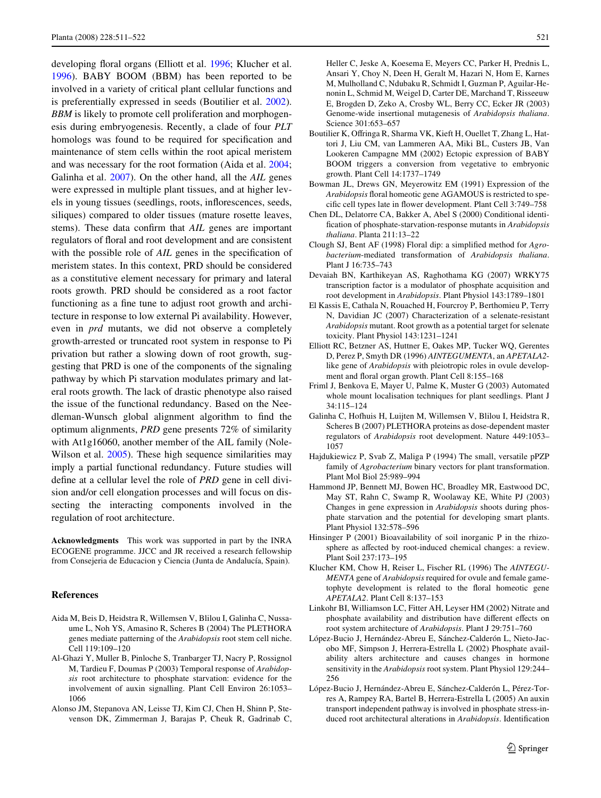developing floral organs (Elliott et al. [1996;](#page-10-10) Klucher et al. [1996](#page-10-11)). BABY BOOM (BBM) has been reported to be involved in a variety of critical plant cellular functions and is preferentially expressed in seeds (Boutilier et al. [2002](#page-10-17)). *BBM* is likely to promote cell proliferation and morphogenesis during embryogenesis. Recently, a clade of four *PLT* homologs was found to be required for specification and maintenance of stem cells within the root apical meristem and was necessary for the root formation (Aida et al. [2004](#page-10-12); Galinha et al. [2007\)](#page-10-18). On the other hand, all the *AIL* genes were expressed in multiple plant tissues, and at higher levels in young tissues (seedlings, roots, inflorescences, seeds, siliques) compared to older tissues (mature rosette leaves, stems). These data confirm that *AIL* genes are important regulators of floral and root development and are consistent with the possible role of *AIL* genes in the specification of meristem states. In this context, PRD should be considered as a constitutive element necessary for primary and lateral roots growth. PRD should be considered as a root factor functioning as a fine tune to adjust root growth and architecture in response to low external Pi availability. However, even in *prd* mutants, we did not observe a completely growth-arrested or truncated root system in response to Pi privation but rather a slowing down of root growth, suggesting that PRD is one of the components of the signaling pathway by which Pi starvation modulates primary and lateral roots growth. The lack of drastic phenotype also raised the issue of the functional redundancy. Based on the Needleman-Wunsch global alignment algorithm to find the optimum alignments, *PRD* gene presents 72% of similarity with At1g16060, another member of the AIL family (Nole-Wilson et al. [2005](#page-11-17)). These high sequence similarities may imply a partial functional redundancy. Future studies will define at a cellular level the role of *PRD* gene in cell division and/or cell elongation processes and will focus on dissecting the interacting components involved in the regulation of root architecture.

**Acknowledgments** This work was supported in part by the INRA ECOGENE programme. JJCC and JR received a research fellowship from Consejeria de Educacion y Ciencia (Junta de Andalucía, Spain).

#### **References**

- <span id="page-10-12"></span>Aida M, Beis D, Heidstra R, Willemsen V, Blilou I, Galinha C, Nussaume L, Noh YS, Amasino R, Scheres B (2004) The PLETHORA genes mediate patterning of the *Arabidopsis* root stem cell niche. Cell 119:109–120
- <span id="page-10-7"></span>Al-Ghazi Y, Muller B, Pinloche S, Tranbarger TJ, Nacry P, Rossignol M, Tardieu F, Doumas P (2003) Temporal response of *Arabidopsis* root architecture to phosphate starvation: evidence for the involvement of auxin signalling. Plant Cell Environ 26:1053– 1066
- <span id="page-10-13"></span>Alonso JM, Stepanova AN, Leisse TJ, Kim CJ, Chen H, Shinn P, Stevenson DK, Zimmerman J, Barajas P, Cheuk R, Gadrinab C,

Heller C, Jeske A, Koesema E, Meyers CC, Parker H, Prednis L, Ansari Y, Choy N, Deen H, Geralt M, Hazari N, Hom E, Karnes M, Mulholland C, Ndubaku R, Schmidt I, Guzman P, Aguilar-Henonin L, Schmid M, Weigel D, Carter DE, Marchand T, Risseeuw E, Brogden D, Zeko A, Crosby WL, Berry CC, Ecker JR (2003) Genome-wide insertional mutagenesis of *Arabidopsis thaliana*. Science 301:653–657

- <span id="page-10-17"></span>Boutilier K, Offringa R, Sharma VK, Kieft H, Ouellet T, Zhang L, Hattori J, Liu CM, van Lammeren AA, Miki BL, Custers JB, Van Lookeren Campagne MM (2002) Ectopic expression of BABY BOOM triggers a conversion from vegetative to embryonic growth. Plant Cell 14:1737–1749
- <span id="page-10-16"></span>Bowman JL, Drews GN, Meyerowitz EM (1991) Expression of the Arabidopsis floral homeotic gene AGAMOUS is restricted to specific cell types late in flower development. Plant Cell 3:749–758
- <span id="page-10-15"></span>Chen DL, Delatorre CA, Bakker A, Abel S (2000) Conditional identification of phosphate-starvation-response mutants in *Arabidopsis thaliana*. Planta 211:13–22
- <span id="page-10-6"></span>Clough SJ, Bent AF (1998) Floral dip: a simplified method for *Agrobacterium*-mediated transformation of *Arabidopsis thaliana*. Plant J 16:735–743
- <span id="page-10-5"></span>Devaiah BN, Karthikeyan AS, Raghothama KG (2007) WRKY75 transcription factor is a modulator of phosphate acquisition and root development in *Arabidopsis*. Plant Physiol 143:1789–1801
- <span id="page-10-9"></span>El Kassis E, Cathala N, Rouached H, Fourcroy P, Berthomieu P, Terry N, Davidian JC (2007) Characterization of a selenate-resistant *Arabidopsis* mutant. Root growth as a potential target for selenate toxicity. Plant Physiol 143:1231–1241
- <span id="page-10-10"></span>Elliott RC, Betzner AS, Huttner E, Oakes MP, Tucker WQ, Gerentes D, Perez P, Smyth DR (1996) *AINTEGUMENTA*, an *APETALA2* like gene of *Arabidopsis* with pleiotropic roles in ovule development and floral organ growth. Plant Cell 8:155-168
- <span id="page-10-8"></span>Friml J, Benkova E, Mayer U, Palme K, Muster G (2003) Automated whole mount localisation techniques for plant seedlings. Plant J 34:115–124
- <span id="page-10-18"></span>Galinha C, Hofhuis H, Luijten M, Willemsen V, Blilou I, Heidstra R, Scheres B (2007) PLETHORA proteins as dose-dependent master regulators of *Arabidopsis* root development. Nature 449:1053– 1057
- <span id="page-10-14"></span>Hajdukiewicz P, Svab Z, Maliga P (1994) The small, versatile pPZP family of *Agrobacterium* binary vectors for plant transformation. Plant Mol Biol 25:989–994
- <span id="page-10-4"></span>Hammond JP, Bennett MJ, Bowen HC, Broadley MR, Eastwood DC, May ST, Rahn C, Swamp R, Woolaway KE, White PJ (2003) Changes in gene expression in *Arabidopsis* shoots during phosphate starvation and the potential for developing smart plants. Plant Physiol 132:578–596
- <span id="page-10-0"></span>Hinsinger P (2001) Bioavailability of soil inorganic P in the rhizosphere as affected by root-induced chemical changes: a review. Plant Soil 237:173–195
- <span id="page-10-11"></span>Klucher KM, Chow H, Reiser L, Fischer RL (1996) The *AINTEGU-MENTA* gene of *Arabidopsis* required for ovule and female gametophyte development is related to the floral homeotic gene *APETALA2*. Plant Cell 8:137–153
- <span id="page-10-1"></span>Linkohr BI, Williamson LC, Fitter AH, Leyser HM (2002) Nitrate and phosphate availability and distribution have different effects on root system architecture of *Arabidopsis*. Plant J 29:751–760
- <span id="page-10-2"></span>López-Bucio J, Hernández-Abreu E, Sánchez-Calderón L, Nieto-Jacobo MF, Simpson J, Herrera-Estrella L (2002) Phosphate availability alters architecture and causes changes in hormone sensitivity in the *Arabidopsis* root system. Plant Physiol 129:244– 256
- <span id="page-10-3"></span>López-Bucio J, Hernández-Abreu E, Sánchez-Calderón L, Pérez-Torres A, Rampey RA, Bartel B, Herrera-Estrella L (2005) An auxin transport independent pathway is involved in phosphate stress-induced root architectural alterations in *Arabidopsis*. Identification